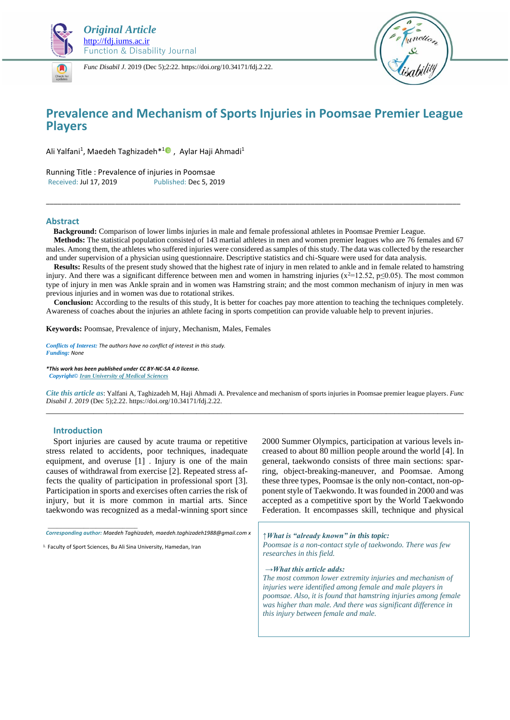

*Func Disabil J.* 2019 (Dec 5);2:22. https://doi.org/10.34171/fdj.2.22.



# **Prevalence and Mechanism of Sports Injuries in Poomsae Premier League Players**

Ali Yalfani<sup>1</sup>, Maedeh Taghizadeh<sup>\*10</sup>, Aylar Haji Ahmadi<sup>1</sup>

Running Title : Prevalence of injuries in Poomsae Received: Jul 17, 2019 Published: Dec 5, 2019

### **Abstract**

 **Background:** Comparison of lower limbs injuries in male and female professional athletes in Poomsae Premier League.

 **Methods:** The statistical population consisted of 143 martial athletes in men and women premier leagues who are 76 females and 67 males. Among them, the athletes who suffered injuries were considered as samples of this study. The data was collected by the researcher and under supervision of a physician using questionnaire. Descriptive statistics and chi-Square were used for data analysis.

\_\_\_\_\_\_\_\_\_\_\_\_\_\_\_\_\_\_\_\_\_\_\_\_\_\_\_\_\_\_\_\_\_\_\_\_\_\_\_\_\_\_\_\_\_\_\_\_\_\_\_\_\_\_\_\_\_\_\_\_\_\_\_\_\_\_\_\_\_\_\_\_\_\_\_\_\_\_\_\_\_\_\_\_\_\_\_\_\_\_\_\_\_\_\_\_\_\_\_\_\_\_\_\_\_\_\_\_

 **Results:** Results of the present study showed that the highest rate of injury in men related to ankle and in female related to hamstring injury. And there was a significant difference between men and women in hamstring injuries ( $x^2$ =12.52, p≤0.05). The most common type of injury in men was Ankle sprain and in women was Hamstring strain; and the most common mechanism of injury in men was previous injuries and in women was due to rotational strikes.

**Conclusion:** According to the results of this study, It is better for coaches pay more attention to teaching the techniques completely. Awareness of coaches about the injuries an athlete facing in sports competition can provide valuable help to prevent injuries.

**Keywords:** Poomsae, Prevalence of injury, Mechanism, Males, Females

*Conflicts of Interest: The authors have no conflict of interest in this study. Funding: None*

*\*This work has been published under CC BY-NC-SA 4.0 license. Copyright[© Iran University of Medical Sciences](http://iums.ac.ir/en?sid=1)*

*Cite this article as*: Yalfani A, Taghizadeh M, Haji Ahmadi A. Prevalence and mechanism of sports injuries in Poomsae premier league players. *Func Disabil J. 2019* (Dec 5);2.22. https://doi.org/10.34171/fdj.2.22. \_\_\_\_\_\_\_\_\_\_\_\_\_\_\_\_\_\_\_\_\_\_\_\_\_\_\_\_\_\_\_\_\_\_\_\_\_\_\_\_\_\_\_\_\_\_\_\_\_\_\_\_\_\_\_\_\_\_\_\_\_\_\_\_\_\_\_\_\_\_\_\_\_\_\_\_\_\_\_\_\_\_\_\_\_\_\_\_\_\_\_\_\_\_\_\_\_

#### **Introduction**

Sport injuries are caused by acute trauma or repetitive stress related to accidents, poor techniques, inadequate equipment, and overuse [1] . Injury is one of the main causes of withdrawal from exercise [2]. Repeated stress affects the quality of participation in professional sport [3]. Participation in sports and exercises often carries the risk of injury, but it is more common in martial arts. Since taekwondo was recognized as a medal-winning sport since

*\_\_\_\_\_\_\_\_\_\_\_\_\_\_\_\_\_\_\_\_\_\_\_\_\_\_\_\_\_\_ Corresponding author: Maedeh Taghizadeh, maedeh.taghizadeh1988@gmail.com x*

<sup>1.</sup> Faculty of Sport Sciences, Bu Ali Sina University, Hamedan, Iran

2000 Summer Olympics, participation at various levels increased to about 80 million people around the world [4]. In general, taekwondo consists of three main sections: sparring, object-breaking-maneuver, and Poomsae. Among these three types, Poomsae is the only non-contact, non-opponent style of Taekwondo. It was founded in 2000 and was accepted as a competitive sport by the World Taekwondo Federation. It encompasses skill, technique and physical

*↑What is "already known" in this topic: Poomsae is a non-contact style of taekwondo. There was few researches in this field.* 

*→What this article adds:*

*The most common lower extremity injuries and mechanism of injuries were identified among female and male players in poomsae. Also, it is found that hamstring injuries among female was higher than male. And there was significant difference in this injury between female and male.*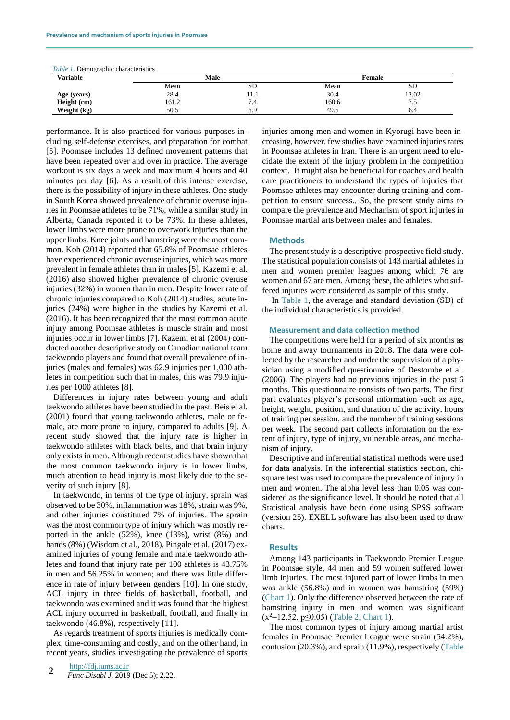| <i>Table 1.</i> Demographic characteristics |       |      |        |       |  |
|---------------------------------------------|-------|------|--------|-------|--|
| <b>Variable</b>                             | Male  |      | Female |       |  |
|                                             | Mean  | SD.  | Mean   | SD    |  |
| Age (years)                                 | 28.4  | 11.1 | 30.4   | 12.02 |  |
| Height (cm)                                 | 161.2 | .4   | 160.6  | ن. ا  |  |
| Weight (kg)                                 | 50.5  | 6.9  | 49.5   | 6.4   |  |

performance. It is also practiced for various purposes including self-defense exercises, and preparation for combat [5]. Poomsae includes 13 defined movement patterns that have been repeated over and over in practice. The average workout is six days a week and maximum 4 hours and 40 minutes per day [6]. As a result of this intense exercise, there is the possibility of injury in these athletes. One study in South Korea showed prevalence of chronic overuse injuries in Poomsae athletes to be 71%, while a similar study in Alberta, Canada reported it to be 73%. In these athletes, lower limbs were more prone to overwork injuries than the upper limbs. Knee joints and hamstring were the most common. Koh (2014) reported that 65.8% of Poomsae athletes have experienced chronic overuse injuries, which was more prevalent in female athletes than in males [5]. Kazemi et al. (2016) also showed higher prevalence of chronic overuse injuries (32%) in women than in men. Despite lower rate of chronic injuries compared to Koh (2014) studies, acute injuries (24%) were higher in the studies by Kazemi et al. (2016). It has been recognized that the most common acute injury among Poomsae athletes is muscle strain and most injuries occur in lower limbs [7]. Kazemi et al (2004) conducted another descriptive study on Canadian national team taekwondo players and found that overall prevalence of injuries (males and females) was 62.9 injuries per 1,000 athletes in competition such that in males, this was 79.9 injuries per 1000 athletes [8].

Differences in injury rates between young and adult taekwondo athletes have been studied in the past. Beis et al. (2001) found that young taekwondo athletes, male or female, are more prone to injury, compared to adults [9]. A recent study showed that the injury rate is higher in taekwondo athletes with black belts, and that brain injury only exists in men. Although recent studies have shown that the most common taekwondo injury is in lower limbs, much attention to head injury is most likely due to the severity of such injury [8].

In taekwondo, in terms of the type of injury, sprain was observed to be 30%, inflammation was 18%, strain was 9%, and other injuries constituted 7% of injuries. The sprain was the most common type of injury which was mostly reported in the ankle (52%), knee (13%), wrist (8%) and hands (8%) (Wisdom et al., 2018). Pingale et al. (2017) examined injuries of young female and male taekwondo athletes and found that injury rate per 100 athletes is 43.75% in men and 56.25% in women; and there was little difference in rate of injury between genders [10]. In one study, ACL injury in three fields of basketball, football, and taekwondo was examined and it was found that the highest ACL injury occurred in basketball, football, and finally in taekwondo (46.8%), respectively [11].

As regards treatment of sports injuries is medically complex, time-consuming and costly, and on the other hand, in recent years, studies investigating the prevalence of sports injuries among men and women in Kyorugi have been increasing, however, few studies have examined injuries rates in Poomsae athletes in Iran. There is an urgent need to elucidate the extent of the injury problem in the competition context. It might also be beneficial for coaches and health care practitioners to understand the types of injuries that Poomsae athletes may encounter during training and competition to ensure success.. So, the present study aims to compare the prevalence and Mechanism of sport injuries in Poomsae martial arts between males and females.

### **Methods**

The present study is a descriptive-prospective field study. The statistical population consists of 143 martial athletes in men and women premier leagues among which 76 are women and 67 are men. Among these, the athletes who suffered injuries were considered as sample of this study.

In Table 1, the average and standard deviation (SD) of the individual characteristics is provided.

#### **Measurement and data collection method**

The competitions were held for a period of six months as home and away tournaments in 2018. The data were collected by the researcher and under the supervision of a physician using a modified questionnaire of Destombe et al. (2006). The players had no previous injuries in the past 6 months. This questionnaire consists of two parts. The first part evaluates player's personal information such as age, height, weight, position, and duration of the activity, hours of training per session, and the number of training sessions per week. The second part collects information on the extent of injury, type of injury, vulnerable areas, and mechanism of injury.

Descriptive and inferential statistical methods were used for data analysis. In the inferential statistics section, chisquare test was used to compare the prevalence of injury in men and women. The alpha level less than 0.05 was considered as the significance level. It should be noted that all Statistical analysis have been done using SPSS software (version 25). EXELL software has also been used to draw charts.

#### **Results**

Among 143 participants in Taekwondo Premier League in Poomsae style, 44 men and 59 women suffered lower limb injuries. The most injured part of lower limbs in men was ankle (56.8%) and in women was hamstring (59%) (Chart 1). Only the difference observed between the rate of hamstring injury in men and women was significant  $(x^2=12.52, p \le 0.05)$  (Table 2, Chart 1).

The most common types of injury among martial artist females in Poomsae Premier League were strain (54.2%), contusion (20.3%), and sprain (11.9%), respectively (Table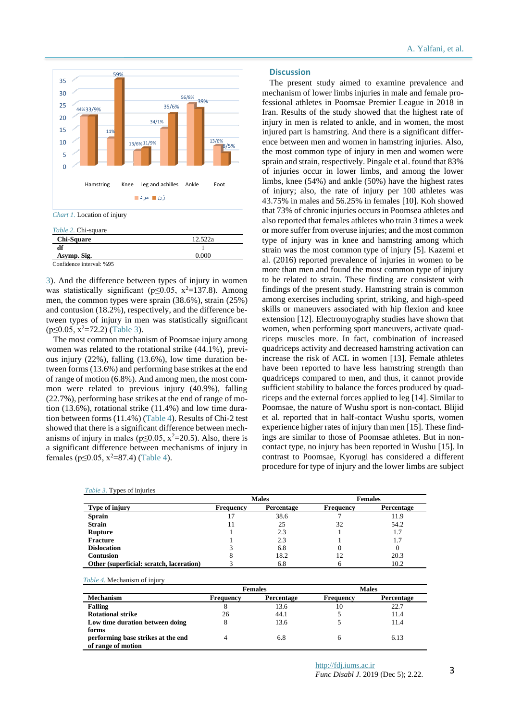

| $10000 \pm 0.000000$     |         |
|--------------------------|---------|
| <b>Chi-Square</b>        | 12.522a |
| df                       |         |
| Asymp. Sig.              | 0.000   |
| Confidence interval: %95 |         |

3). And the difference between types of injury in women was statistically significant ( $p \le 0.05$ ,  $x^2 = 137.8$ ). Among men, the common types were sprain (38.6%), strain (25%) and contusion (18.2%), respectively, and the difference between types of injury in men was statistically significant  $(p \le 0.05, x^2 = 72.2)$  (Table 3).

The most common mechanism of Poomsae injury among women was related to the rotational strike (44.1%), previous injury (22%), falling (13.6%), low time duration between forms (13.6%) and performing base strikes at the end of range of motion (6.8%). And among men, the most common were related to previous injury (40.9%), falling (22.7%), performing base strikes at the end of range of motion (13.6%), rotational strike (11.4%) and low time duration between forms (11.4%) (Table 4). Results of Chi-2 test showed that there is a significant difference between mechanisms of injury in males ( $p \le 0.05$ ,  $x^2 = 20.5$ ). Also, there is a significant difference between mechanisms of injury in females ( $p \le 0.05$ ,  $x^2 = 87.4$ ) (Table 4).

## **Discussion**

The present study aimed to examine prevalence and mechanism of lower limbs injuries in male and female professional athletes in Poomsae Premier League in 2018 in Iran. Results of the study showed that the highest rate of injury in men is related to ankle, and in women, the most injured part is hamstring. And there is a significant difference between men and women in hamstring injuries. Also, the most common type of injury in men and women were sprain and strain, respectively. Pingale et al. found that 83% of injuries occur in lower limbs, and among the lower limbs, knee (54%) and ankle (50%) have the highest rates of injury; also, the rate of injury per 100 athletes was 43.75% in males and 56.25% in females [10]. Koh showed that 73% of chronic injuries occurs in Poomsea athletes and also reported that females athletes who train 3 times a week or more suffer from overuse injuries; and the most common type of injury was in knee and hamstring among which strain was the most common type of injury [5]. Kazemi et al. (2016) reported prevalence of injuries in women to be more than men and found the most common type of injury to be related to strain. These finding are consistent with findings of the present study. Hamstring strain is common among exercises including sprint, striking, and high-speed skills or maneuvers associated with hip flexion and knee extension [12]. Electromyography studies have shown that women, when performing sport maneuvers, activate quadriceps muscles more. In fact, combination of increased quadriceps activity and decreased hamstring activation can increase the risk of ACL in women [13]. Female athletes have been reported to have less hamstring strength than quadriceps compared to men, and thus, it cannot provide sufficient stability to balance the forces produced by quadriceps and the external forces applied to leg [14]. Similar to Poomsae, the nature of Wushu sport is non-contact. Blijid et al. reported that in half-contact Wushu sports, women experience higher rates of injury than men [15]. These findings are similar to those of Poomsae athletes. But in noncontact type, no injury has been reported in Wushu [15]. In contrast to Poomsae, Kyorugi has considered a different procedure for type of injury and the lower limbs are subject

|                                          | <b>Males</b>     |            | <b>Females</b> |            |
|------------------------------------------|------------------|------------|----------------|------------|
| Type of injury                           | <b>Frequency</b> | Percentage | Frequency      | Percentage |
| <b>Sprain</b>                            |                  | 38.6       |                | 11.9       |
| <b>Strain</b>                            |                  | 25         | 32             | 54.2       |
| Rupture                                  |                  | 2.3        |                | 1.7        |
| <b>Fracture</b>                          |                  | 2.3        |                | 1.7        |
| <b>Dislocation</b>                       |                  | 6.8        |                |            |
| <b>Contusion</b>                         |                  | 18.2       |                | 20.3       |
| Other (superficial: scratch, laceration) |                  | 6.8        |                | 10.2       |

|                                    | <b>Females</b> |            | <b>Males</b> |                   |
|------------------------------------|----------------|------------|--------------|-------------------|
| <b>Mechanism</b>                   | Frequency      | Percentage | Frequency    | <b>Percentage</b> |
| Falling                            | $\circ$        | 13.6       | 10           | 22.7              |
| <b>Rotational strike</b>           | 26             | 44.1       |              | 11.4              |
| Low time duration between doing    |                | 13.6       |              | 11.4              |
| forms                              |                |            |              |                   |
| performing base strikes at the end |                | 6.8        | 6            | 6.13              |
| of range of motion                 |                |            |              |                   |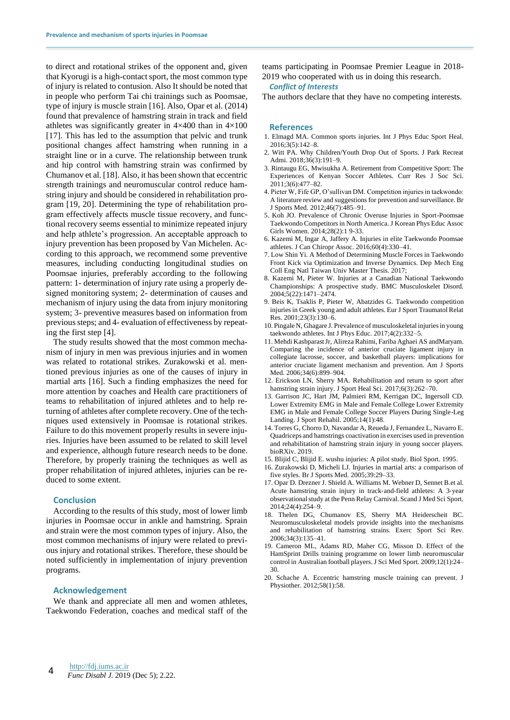to direct and rotational strikes of the opponent and, given that Kyorugi is a high-contact sport, the most common type of injury is related to contusion. Also It should be noted that in people who perform Tai chi trainings such as Poomsae, type of injury is muscle strain [16]. Also, Opar et al. (2014) found that prevalence of hamstring strain in track and field athletes was significantly greater in 4×400 than in 4×100 [17]. This has led to the assumption that pelvic and trunk positional changes affect hamstring when running in a straight line or in a curve. The relationship between trunk and hip control with hamstring strain was confirmed by Chumanov et al. [18]. Also, it has been shown that eccentric strength trainings and neuromuscular control reduce hamstring injury and should be considered in rehabilitation program [19, 20]. Determining the type of rehabilitation program effectively affects muscle tissue recovery, and functional recovery seems essential to minimize repeated injury and help athlete's progression. An acceptable approach to injury prevention has been proposed by Van Michelen. According to this approach, we recommend some preventive measures, including conducting longitudinal studies on Poomsae injuries, preferably according to the following pattern: 1- determination of injury rate using a properly designed monitoring system; 2- determination of causes and mechanism of injury using the data from injury monitoring system; 3- preventive measures based on information from previous steps; and 4- evaluation of effectiveness by repeating the first step [4].

The study results showed that the most common mechanism of injury in men was previous injuries and in women was related to rotational strikes. Zurakowski et al. mentioned previous injuries as one of the causes of injury in martial arts [16]. Such a finding emphasizes the need for more attention by coaches and Health care practitioners of teams to rehabilitation of injured athletes and to help returning of athletes after complete recovery. One of the techniques used extensively in Poomsae is rotational strikes. Failure to do this movement properly results in severe injuries. Injuries have been assumed to be related to skill level and experience, although future research needs to be done. Therefore, by properly training the techniques as well as proper rehabilitation of injured athletes, injuries can be reduced to some extent.

#### **Conclusion**

According to the results of this study, most of lower limb injuries in Poomsae occur in ankle and hamstring. Sprain and strain were the most common types of injury. Also, the most common mechanisms of injury were related to previous injury and rotational strikes. Therefore, these should be noted sufficiently in implementation of injury prevention programs.

#### **Acknowledgement**

We thank and appreciate all men and women athletes, Taekwondo Federation, coaches and medical staff of the teams participating in Poomsae Premier League in 2018- 2019 who cooperated with us in doing this research.

#### *Conflict of Interests*

The authors declare that they have no competing interests.

#### **References**

- 1. Elmagd MA. Common sports injuries. Int J Phys Educ Sport Heal. 2016;3(5):142–8.
- 2. Witt PA. Why Children/Youth Drop Out of Sports. J Park Recreat Admi. 2018;36(3):191–9.
- 3. Rintaugu EG, Mwisukha A. Retirement from Competitive Sport: The Experiences of Kenyan Soccer Athletes. Curr Res J Soc Sci. 2011;3(6):477–82.
- 4. Pieter W, Fife GP, O'sullivan DM. Competition injuries in taekwondo: A literature review and suggestions for prevention and surveillance. Br J Sports Med. 2012;46(7):485–91.
- 5. Koh JO. Prevalence of Chronic Overuse Injuries in Sport-Poomsae Taekwondo Competitors in North America. J Korean Phys Educ Assoc Girls Women. 2014;28(2):1 9-33.
- 6. Kazemi M, Ingar A, Jaffery A. Injuries in elite Taekwondo Poomsae athletes. J Can Chiropr Assoc. 2016;60(4):330–41.
- 7. Low Shin Yi. A Method of Determining Muscle Forces in Taekwondo Front Kick via Optimization and Inverse Dynamics. Dep Mech Eng Coll Eng Natl Taiwan Univ Master Thesis. 2017;
- 8. Kazemi M, Pieter W. Injuries at a Canadian National Taekwondo Championships: A prospective study. BMC Musculoskelet Disord. 2004;5(22):1471–2474.
- 9. Beis K, Tsaklis P, Pieter W, Abatzides G. Taekwondo competition injuries in Greek young and adult athletes. Eur J Sport Traumatol Relat Res.  $2001:23(3):130-6$ .
- 10. Pingale N, Ghagare J. Prevalence of musculoskeletal injuries in young taekwondo athletes. Int J Phys Educ. 2017;4(2):332–5.
- 11. Mehdi Kasbparast Jr, Alireza Rahimi, Fariba Aghaei AS andMaryam. Comparing the incidence of anterior cruciate ligament injury in collegiate lacrosse, soccer, and basketball players: implications for anterior cruciate ligament mechanism and prevention. Am J Sports Med. 2006;34(6):899–904.
- 12. Erickson LN, Sherry MA. Rehabilitation and return to sport after hamstring strain injury. J Sport Heal Sci. 2017;6(3):262-70.
- 13. Garrison JC, Hart JM, Palmieri RM, Kerrigan DC, Ingersoll CD. Lower Extremity EMG in Male and Female College Lower Extremity EMG in Male and Female College Soccer Players During Single-Leg Landing. J Sport Rehabil. 2005;14(1):48.
- 14. Torres G, Chorro D, Navandar A, Reueda J, Fernandez L, Navarro E. Quadriceps and hamstrings coactivation in exercises used in prevention and rehabilitation of hamstring strain injury in young soccer players. bioRXiv. 2019.
- 15. Blijid C, Blijid E. wushu injuries: A pilot study. Biol Sport. 1995.
- 16. Zurakowski D, Micheli LJ. Injuries in martial arts: a comparison of five styles. Br J Sports Med. 2005;39:29–33.
- 17. Opar D. Drezner J. Shield A. Williams M. Webner D, Sennet B.et al. Acute hamstring strain injury in track‐and‐field athletes: A 3‐year observational study at the Penn Relay Carnival. Scand J Med Sci Sport. 2014;24(4):254–9.
- 18. Thelen DG, Chumanov ES, Sherry MA Heiderscheit BC. Neuromusculoskeletal models provide insights into the mechanisms and rehabilitation of hamstring strains. Exerc Sport Sci Rev. 2006;34(3):135–41.
- 19. Cameron ML, Adams RD, Maher CG, Misson D. Effect of the HamSprint Drills training programme on lower limb neuromuscular control in Australian football players. J Sci Med Sport. 2009;12(1):24– 30.
- 20. Schache A. Eccentric hamstring muscle training can prevent. J Physiother. 2012;58(1):58.